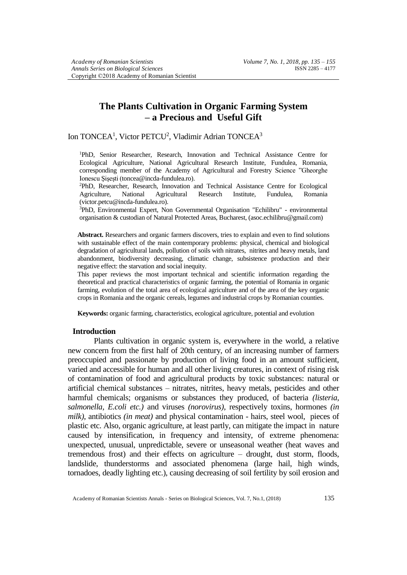# **The Plants Cultivation in Organic Farming System – a Precious and Useful Gift**

# Ion TONCEA<sup>1</sup>, Victor PETCU<sup>2</sup>, Vladimir Adrian TONCEA<sup>3</sup>

<sup>1</sup>PhD, Senior Researcher, Research, Innovation and Technical Assistance Centre for Ecological Agriculture, National Agricultural Research Institute, Fundulea, Romania, corresponding member of the Academy of Agricultural and Forestry Science "Gheorghe Ionescu Sisesti (toncea@incda-fundulea.ro).

<sup>2</sup>PhD, Researcher, Research, Innovation and Technical Assistance Centre for Ecological Agriculture, National Agricultural Research Institute, Fundulea, Romania (victor.petcu@incda-fundulea.ro).

<sup>3</sup>PhD, Environmental Expert, Non Governmental Organisation "Echilibru" - environmental organisation & custodian of Natural Protected Areas, Bucharest, (asoc.echilibru@gmail.com)

**Abstract.** Researchers and organic farmers discovers, tries to explain and even to find solutions with sustainable effect of the main contemporary problems: physical, chemical and biological degradation of agricultural lands, pollution of soils with nitrates, nitrites and heavy metals, land abandonment, biodiversity decreasing, climatic change, subsistence production and their negative effect: the starvation and social inequity.

This paper reviews the most important technical and scientific information regarding the theoretical and practical characteristics of organic farming, the potential of Romania in organic farming, evolution of the total area of ecological agriculture and of the area of the key organic crops in Romania and the organic cereals, legumes and industrial crops by Romanian counties.

**Keywords:** organic farming, characteristics, ecological agriculture, potential and evolution

### **Introduction**

Plants cultivation in organic system is, everywhere in the world, a relative new concern from the first half of 20th century, of an increasing number of farmers preoccupied and passionate by production of living food in an amount sufficient, varied and accessible for human and all other living creatures, in context of rising risk of contamination of food and agricultural products by toxic substances: natural or artificial chemical substances – nitrates, nitrites, heavy metals, pesticides and other harmful chemicals; organisms or substances they produced, of bacteria *(listeria, salmonella, E.coli etc.)* and viruses *(norovirus)*, respectively toxins, hormones *(in milk)*, antibiotics *(in meat)* and physical contamination - hairs, steel wool, pieces of plastic etc. Also, organic agriculture, at least partly, can mitigate the impact in nature caused by intensification, in frequency and intensity, of extreme phenomena: unexpected, unusual, unpredictable, severe or unseasonal weather (heat waves and tremendous frost) and their effects on agriculture – drought, dust storm, floods, landslide, thunderstorms and associated phenomena (large hail, high winds, tornadoes, deadly lighting etc.), causing decreasing of soil fertility by soil erosion and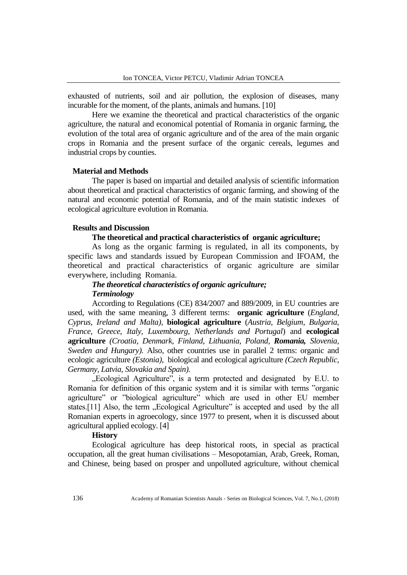exhausted of nutrients, soil and air pollution, the explosion of diseases, many incurable for the moment, of the plants, animals and humans. [10]

Here we examine the theoretical and practical characteristics of the organic agriculture, the natural and economical potential of Romania in organic farming, the evolution of the total area of organic agriculture and of the area of the main organic crops in Romania and the present surface of the organic cereals, legumes and industrial crops by counties.

#### **Material and Methods**

The paper is based on impartial and detailed analysis of scientific information about theoretical and practical characteristics of organic farming, and showing of the natural and economic potential of Romania, and of the main statistic indexes of ecological agriculture evolution in Romania.

# **Results and Discussion**

## **The theoretical and practical characteristics of organic agriculture;**

As long as the organic farming is regulated, in all its components, by specific laws and standards issued by European Commission and IFOAM, the theoretical and practical characteristics of organic agriculture are similar everywhere, including Romania.

# *The theoretical characteristics of organic agriculture; Terminology*

According to Regulations (CE) 834/2007 and 889/2009, in EU countries are used, with the same meaning, 3 different terms: **organic agriculture** (*England, Cyprus, Ireland and Malta),* **biological agriculture** (*Austria, Belgium, Bulgaria, France, Greece, Italy, Luxembourg, Netherlands and Portugal*) and **ecological agriculture** *(Croatia, Denmark, Finland, Lithuania, Poland, Romania, Slovenia, Sweden and Hungary).* Also, other countries use in parallel 2 terms: organic and ecologic agriculture *(Estonia)*, biological and ecological agriculture *(Czech Republic, Germany, Latvia, Slovakia and Spain).*

. Ecological Agriculture", is a term protected and designated by E.U. to Romania for definition of this organic system and it is similar with terms "organic agriculture" or "biological agriculture" which are used in other EU member states.[11] Also, the term "Ecological Agriculture" is accepted and used by the all Romanian experts in agroecology, since 1977 to present, when it is discussed about agricultural applied ecology. [4]

### **History**

Ecological agriculture has deep historical roots, in special as practical occupation, all the great human civilisations – Mesopotamian, Arab, Greek, Roman, and Chinese, being based on prosper and unpolluted agriculture, without chemical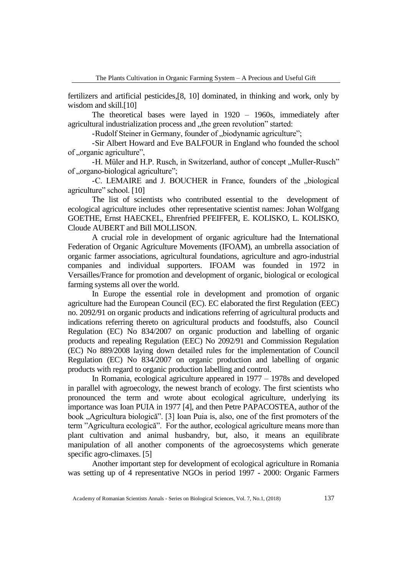fertilizers and artificial pesticides,[8, 10] dominated, in thinking and work, only by wisdom and skill.<sup>[10]</sup>

The theoretical bases were layed in 1920 – 1960s, immediately after agricultural industrialization process and "the green revolution" started:

-Rudolf Steiner in Germany, founder of "biodynamic agriculture";

-Sir Albert Howard and Eve BALFOUR in England who founded the school of "organic agriculture",

-H. Müler and H.P. Rusch, in Switzerland, author of concept ., Muller-Rusch" of "organo-biological agriculture";

-C. LEMAIRE and J. BOUCHER in France, founders of the "biological agriculture" school. [10]

The list of scientists who contributed essential to the development of ecological agriculture includes other representative scientist names: Johan Wolfgang GOETHE, Ernst HAECKEL, Ehrenfried PFEIFFER, E. KOLISKO, L. KOLISKO, Cloude AUBERT and Bill MOLLISON.

A crucial role in development of organic agriculture had the International Federation of Organic Agriculture Movements (IFOAM), an umbrella association of organic farmer associations, agricultural foundations, agriculture and agro-industrial companies and individual supporters. IFOAM was founded in 1972 in Versailles/France for promotion and development of organic, biological or ecological farming systems all over the world.

In Europe the essential role in development and promotion of organic agriculture had the European Council (EC). EC elaborated the first Regulation (EEC) no. 2092/91 on organic products and indications referring of agricultural products and indications referring thereto on agricultural products and foodstuffs, also Council Regulation (EC) No 834/2007 on organic production and labelling of organic products and repealing Regulation (EEC) No 2092/91 and Commission Regulation (EC) No 889/2008 laying down detailed rules for the implementation of Council Regulation (EC) No 834/2007 on organic production and labelling of organic products with regard to organic production labelling and control.

In Romania, ecological agriculture appeared in 1977 – 1978s and developed in parallel with agroecology, the newest branch of ecology. The first scientists who pronounced the term and wrote about ecological agriculture, underlying its importance was Ioan PUIA in 1977 [4], and then Petre PAPACOSTEA, author of the book "Agricultura biologică". [3] Ioan Puia is, also, one of the first promoters of the term "Agricultura ecologică". For the author, ecological agriculture means more than plant cultivation and animal husbandry, but, also, it means an equilibrate manipulation of all another components of the agroecosystems which generate specific agro-climaxes. [5]

Another important step for development of ecological agriculture in Romania was setting up of 4 representative NGOs in period 1997 - 2000: Organic Farmers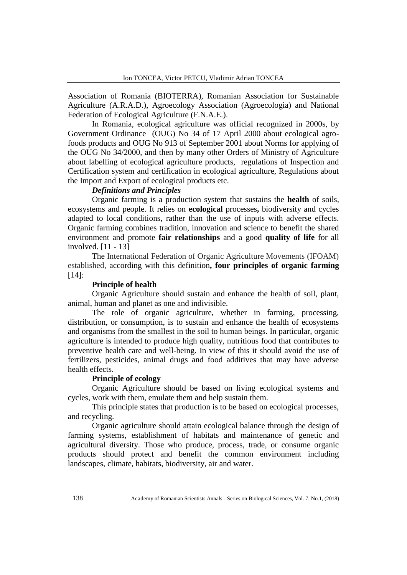Association of Romania (BIOTERRA), Romanian Association for Sustainable Agriculture (A.R.A.D.), Agroecology Association (Agroecologia) and National Federation of Ecological Agriculture (F.N.A.E.).

In Romania, ecological agriculture was official recognized in 2000s, by Government Ordinance (OUG) No 34 of 17 April 2000 about ecological agrofoods products and OUG No 913 of September 2001 about Norms for applying of the OUG No 34/2000, and then by many other Orders of Ministry of Agriculture about labelling of ecological agriculture products, regulations of Inspection and Certification system and certification in ecological agriculture, Regulations about the Import and Export of ecological products etc.

# *Definitions and Principles*

Organic farming is a production system that sustains the **health** of soils, ecosystems and people. It relies on **ecological** processes**,** biodiversity and cycles adapted to local conditions, rather than the use of inputs with adverse effects. Organic farming combines tradition, innovation and science to benefit the shared environment and promote **fair relationships** and a good **quality of life** for all involved. [11 - 13]

The International Federation of Organic Agriculture Movements (IFOAM) established, according with this definition**, four principles of organic farming** [14]:

# **Principle of health**

Organic Agriculture should sustain and enhance the health of soil, plant, animal, human and planet as one and indivisible.

The role of organic agriculture, whether in farming, processing, distribution, or consumption, is to sustain and enhance the health of ecosystems and organisms from the smallest in the soil to human beings. In particular, organic agriculture is intended to produce high quality, nutritious food that contributes to preventive health care and well-being. In view of this it should avoid the use of fertilizers, pesticides, animal drugs and food additives that may have adverse health effects.

## **Principle of ecology**

Organic Agriculture should be based on living ecological systems and cycles, work with them, emulate them and help sustain them.

This principle states that production is to be based on ecological processes, and recycling.

Organic agriculture should attain ecological balance through the design of farming systems, establishment of habitats and maintenance of genetic and agricultural diversity. Those who produce, process, trade, or consume organic products should protect and benefit the common environment including landscapes, climate, habitats, biodiversity, air and water.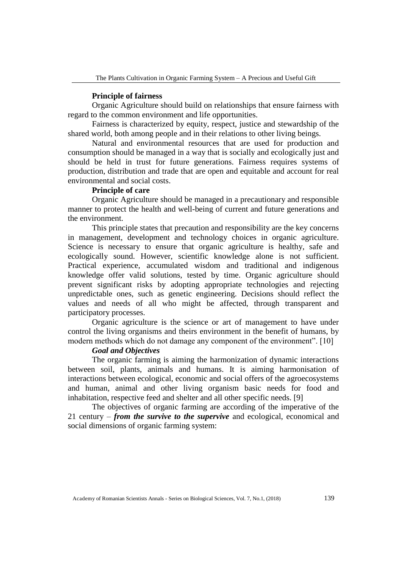#### **Principle of fairness**

Organic Agriculture should build on relationships that ensure fairness with regard to the common environment and life opportunities.

Fairness is characterized by equity, respect, justice and stewardship of the shared world, both among people and in their relations to other living beings.

Natural and environmental resources that are used for production and consumption should be managed in a way that is socially and ecologically just and should be held in trust for future generations. Fairness requires systems of production, distribution and trade that are open and equitable and account for real environmental and social costs.

# **Principle of care**

Organic Agriculture should be managed in a precautionary and responsible manner to protect the health and well-being of current and future generations and the environment.

This principle states that precaution and responsibility are the key concerns in management, development and technology choices in organic agriculture. Science is necessary to ensure that organic agriculture is healthy, safe and ecologically sound. However, scientific knowledge alone is not sufficient. Practical experience, accumulated wisdom and traditional and indigenous knowledge offer valid solutions, tested by time. Organic agriculture should prevent significant risks by adopting appropriate technologies and rejecting unpredictable ones, such as genetic engineering. Decisions should reflect the values and needs of all who might be affected, through transparent and participatory processes.

Organic agriculture is the science or art of management to have under control the living organisms and theirs environment in the benefit of humans, by modern methods which do not damage any component of the environment". [10]

## *Goal and Objectives*

The organic farming is aiming the harmonization of dynamic interactions between soil, plants, animals and humans. It is aiming harmonisation of interactions between ecological, economic and social offers of the agroecosystems and human, animal and other living organism basic needs for food and inhabitation, respective feed and shelter and all other specific needs. [9]

The objectives of organic farming are according of the imperative of the 21 century – *from the survive to the supervive* and ecological, economical and social dimensions of organic farming system: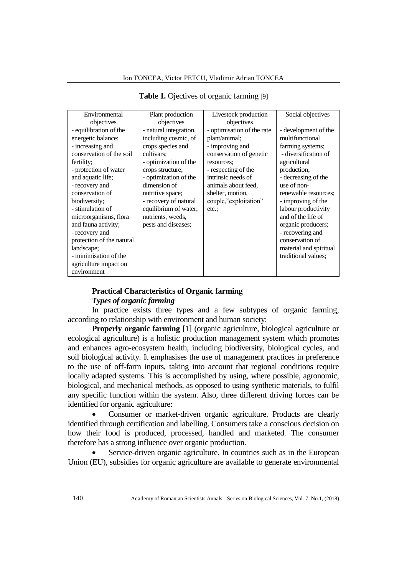| Environmental             | Plant production       | Livestock production       | Social objectives      |
|---------------------------|------------------------|----------------------------|------------------------|
| objectives                | objectives             | objectives                 |                        |
| - equilibration of the    | - natural integration, | - optimisation of the rate | - development of the   |
| energetic balance;        | including cosmic, of   | plant/animal;              | multifunctional        |
| - increasing and          | crops species and      | - improving and            | farming systems;       |
| conservation of the soil  | cultivars:             | conservation of genetic    | - diversification of   |
| fertility;                | - optimization of the  | resources;                 | agricultural           |
| - protection of water     | crops structure;       | - respecting of the        | production;            |
| and aquatic life;         | - optimization of the  | intrinsic needs of         | - decreasing of the    |
| - recovery and            | dimension of           | animals about feed,        | use of non-            |
| conservation of           | nutritive space;       | shelter, motion,           | renewable resources;   |
| biodiversity;             | - recovery of natural  | couple,"exploitation"      | - improving of the     |
| - stimulation of          | equilibrium of water,  | etc.:                      | labour productivity    |
| microorganisms, flora     | nutrients, weeds,      |                            | and of the life of     |
| and fauna activity;       | pests and diseases;    |                            | organic producers;     |
| - recovery and            |                        |                            | - recovering and       |
| protection of the natural |                        |                            | conservation of        |
| landscape;                |                        |                            | material and spiritual |
| - minimisation of the     |                        |                            | traditional values;    |
| agriculture impact on     |                        |                            |                        |
| environment               |                        |                            |                        |

# **Table 1.** Ojectives of organic farming [9]

# **Practical Characteristics of Organic farming**

# *Types of organic farming*

In practice exists three types and a few subtypes of organic farming, according to relationship with environment and human society:

**Properly organic farming** [1] (organic agriculture, biological agriculture or ecological agriculture) is a holistic production management system which promotes and enhances agro-ecosystem health, including biodiversity, biological cycles, and soil biological activity. It emphasises the use of management practices in preference to the use of off-farm inputs, taking into account that regional conditions require locally adapted systems. This is accomplished by using, where possible, agronomic, biological, and mechanical methods, as opposed to using synthetic materials, to fulfil any specific function within the system. Also, three different driving forces can be identified for organic agriculture:

• Consumer or market-driven organic agriculture. Products are clearly identified through certification and labelling. Consumers take a conscious decision on how their food is produced, processed, handled and marketed. The consumer therefore has a strong influence over organic production.

Service-driven organic agriculture. In countries such as in the European Union (EU), subsidies for organic agriculture are available to generate environmental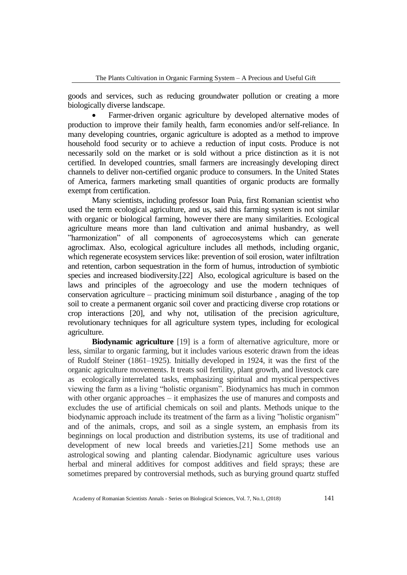goods and services, such as reducing groundwater pollution or creating a more biologically diverse landscape.

• Farmer-driven organic agriculture by developed alternative modes of production to improve their family health, farm economies and/or self-reliance. In many developing countries, organic agriculture is adopted as a method to improve household food security or to achieve a reduction of input costs. Produce is not necessarily sold on the market or is sold without a price distinction as it is not certified. In developed countries, small farmers are increasingly developing direct channels to deliver non-certified organic produce to consumers. In the United States of America, farmers marketing small quantities of organic products are formally exempt from certification.

Many scientists, including professor Ioan Puia, first Romanian scientist who used the term ecological agriculture, and us, said this farming system is not similar with organic or biological farming, however there are many similarities. Ecological agriculture means more than land cultivation and animal husbandry, as well "harmonization" of all components of agroecosystems which can generate agroclimax. Also, ecological agriculture includes all methods, including organic, which regenerate ecosystem services like: prevention of soil erosion, water infiltration and retention, carbon sequestration in the form of humus, introduction of symbiotic species and increased biodiversity.[22] Also, ecological agriculture is based on the laws and principles of the agroecology and use the modern techniques of conservation agriculture – practicing minimum soil disturbance , anaging of the top soil to create a permanent organic soil cover and practicing diverse crop rotations or crop interactions [20], and why not, utilisation of the precision agriculture, revolutionary techniques for all agriculture system types, including for ecological agriculture.

**Biodynamic agriculture** [19] is a form of alternative agriculture, more or less, similar to organic farming, but it includes various esoteric drawn from the ideas of Rudolf Steiner (1861–1925). Initially developed in 1924, it was the first of the organic agriculture movements. It treats soil fertility, plant growth, and livestock care as ecologically interrelated tasks, emphasizing spiritual and mystical perspectives viewing the farm as a living "holistic organism". Biodynamics has much in common with other organic approaches – it emphasizes the use of manures and composts and excludes the use of artificial chemicals on soil and plants. Methods unique to the biodynamic approach include its treatment of the farm as a living "holistic organism" and of the animals, crops, and soil as a single system, an emphasis from its beginnings on local production and distribution systems, its use of traditional and development of new local breeds and varieties.[21] Some methods use an astrological sowing and planting calendar. Biodynamic agriculture uses various herbal and mineral additives for compost additives and field sprays; these are sometimes prepared by controversial methods, such as burying ground quartz stuffed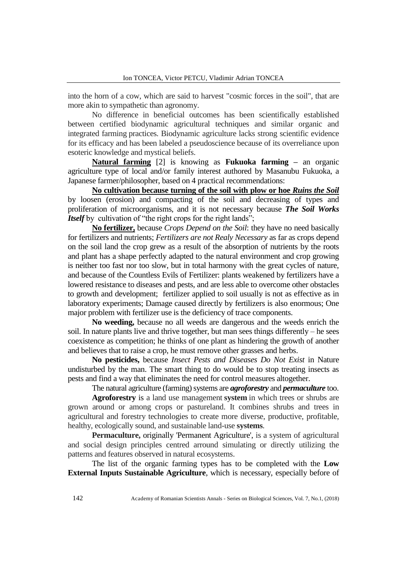into the horn of a cow, which are said to harvest "cosmic forces in the soil", that are more akin to sympathetic than agronomy.

No difference in beneficial outcomes has been scientifically established between certified biodynamic agricultural techniques and similar organic and integrated farming practices. Biodynamic agriculture lacks strong scientific evidence for its efficacy and has been labeled a pseudoscience because of its overreliance upon esoteric knowledge and mystical beliefs.

**Natural farming** [2] is knowing as **Fukuoka farming –** an organic agriculture type of local and/or family interest authored by Masanubu Fukuoka, a Japanese farmer/philosopher, based on 4 practical recommendations:

**No cultivation because turning of the soil with plow or hoe** *Ruins the Soil* by loosen (erosion) and compacting of the soil and decreasing of types and proliferation of microorganisms, and it is not necessary because *The Soil Works Itself* by cultivation of "the right crops for the right lands";

**No fertilizer,** because *Crops Depend on the Soil*: they have no need basically for fertilizers and nutrients; *Fertilizers are not Realy Necessary* as far as crops depend on the soil land the crop grew as a result of the absorption of nutrients by the roots and plant has a shape perfectly adapted to the natural environment and crop growing is neither too fast nor too slow, but in total harmony with the great cycles of nature, and because of the Countless Evils of Fertilizer: plants weakened by fertilizers have a lowered resistance to diseases and pests, and are less able to overcome other obstacles to growth and development; fertilizer applied to soil usually is not as effective as in laboratory experiments; Damage caused directly by fertilizers is also enormous; One major problem with fertilizer use is the deficiency of trace components.

**No weeding,** because no all weeds are dangerous and the weeds enrich the soil. In nature plants live and thrive together, but man sees things differently – he sees coexistence as competition; he thinks of one plant as hindering the growth of another and believes that to raise a crop, he must remove other grasses and herbs.

**No pesticides,** because *Insect Pests and Diseases Do Not Exist* in Nature undisturbed by the man. The smart thing to do would be to stop treating insects as pests and find a way that eliminates the need for control measures altogether.

The natural agriculture (farming) systems are *agroforestry* and *permaculture* too.

**Agroforestry** is a land use management **system** in which trees or shrubs are grown around or among crops or pastureland. It combines shrubs and trees in agricultural and forestry technologies to create more diverse, productive, profitable, healthy, ecologically sound, and sustainable land-use **systems**.

**Permaculture,** originally 'Permanent Agriculture', is a system of agricultural and social design principles centred arround simulating or directly utilizing the patterns and features observed in natural ecosystems.

The list of the organic farming types has to be completed with the **Low External Inputs Sustainable Agriculture**, which is necessary, especially before of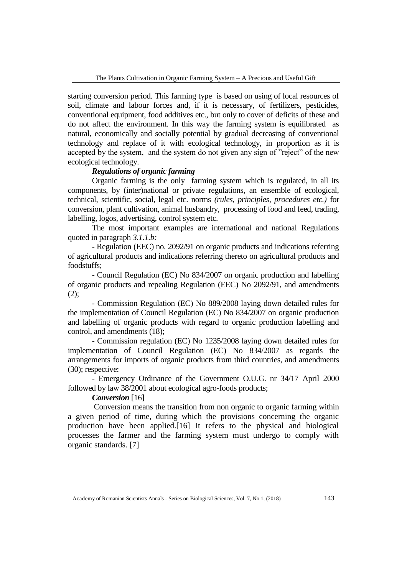starting conversion period. This farming type is based on using of local resources of soil, climate and labour forces and, if it is necessary, of fertilizers, pesticides, conventional equipment, food additives etc., but only to cover of deficits of these and do not affect the environment. In this way the farming system is equilibrated as natural, economically and socially potential by gradual decreasing of conventional technology and replace of it with ecological technology, in proportion as it is accepted by the system, and the system do not given any sign of "reject" of the new ecological technology.

# *Regulations of organic farming*

Organic farming is the only farming system which is regulated, in all its components, by (inter)national or private regulations, an ensemble of ecological, technical, scientific, social, legal etc. norms *(rules, principles, procedures etc.)* for conversion, plant cultivation, animal husbandry, processing of food and feed, trading, labelling, logos, advertising, control system etc.

The most important examples are international and national Regulations quoted in paragraph *3.1.1.b:*

*-* Regulation (EEC) no. 2092/91 on organic products and indications referring of agricultural products and indications referring thereto on agricultural products and foodstuffs;

*-* Council Regulation (EC) No 834/2007 on organic production and labelling of organic products and repealing Regulation (EEC) No 2092/91, and amendments  $(2);$ 

*-* Commission Regulation (EC) No 889/2008 laying down detailed rules for the implementation of Council Regulation (EC) No 834/2007 on organic production and labelling of organic products with regard to organic production labelling and control, and amendments (18);

*-* Commission regulation (EC) No 1235/2008 laying down detailed rules for implementation of Council Regulation (EC) No 834/2007 as regards the arrangements for imports of organic products from third countries, and amendments (30); respective:

*-* Emergency Ordinance of the Government O.U.G. nr 34/17 April 2000 followed by law 38/2001 about ecological agro-foods products;

## *Conversion* [16]

Conversion means the transition from non organic to organic farming within a given period of time, during which the provisions concerning the organic production have been applied.[16] It refers to the physical and biological processes the farmer and the farming system must undergo to comply with organic standards. [7]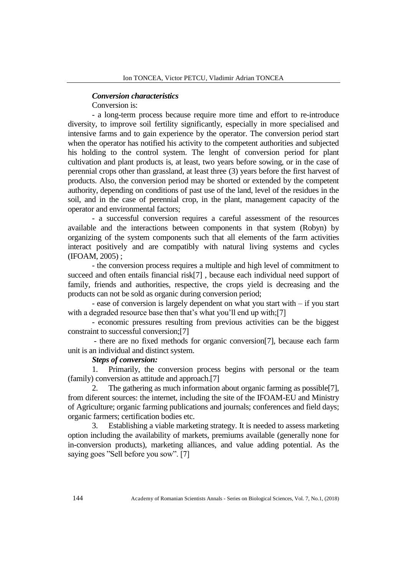#### *Conversion characteristics*

Conversion is:

- a long-term process because require more time and effort to re-introduce diversity, to improve soil fertility significantly, especially in more specialised and intensive farms and to gain experience by the operator. The conversion period start when the operator has notified his activity to the competent authorities and subjected his holding to the control system. The lenght of conversion period for plant cultivation and plant products is, at least, two years before sowing, or in the case of perennial crops other than grassland, at least three (3) years before the first harvest of products. Also, the conversion period may be shorted or extended by the competent authority, depending on conditions of past use of the land, level of the residues in the soil, and in the case of perennial crop, in the plant, management capacity of the operator and environmental factors;

- a successful conversion requires a careful assessment of the resources available and the interactions between components in that system (Robyn) by organizing of the system components such that all elements of the farm activities interact positively and are compatibly with natural living systems and cycles (IFOAM, 2005) ;

- the conversion process requires a multiple and high level of commitment to succeed and often entails financial risk[7] , because each individual need support of family, friends and authorities, respective, the crops yield is decreasing and the products can not be sold as organic during conversion period;

- ease of conversion is largely dependent on what you start with – if you start with a degraded resource base then that's what you'll end up with;[7]

- economic pressures resulting from previous activities can be the biggest constraint to successful conversion;[7]

- there are no fixed methods for organic conversion[7], because each farm unit is an individual and distinct system.

# *Steps of conversion:*

1. Primarily, the conversion process begins with personal or the team (family) conversion as attitude and approach.[7]

2. The gathering as much information about organic farming as possible[7], from diferent sources: the internet, including the site of the IFOAM-EU and Ministry of Agriculture; organic farming publications and journals; conferences and field days; organic farmers; certification bodies etc.

3. Establishing a viable marketing strategy. It is needed to assess marketing option including the availability of markets, premiums available (generally none for in-conversion products), marketing alliances, and value adding potential. As the saying goes "Sell before you sow". [7]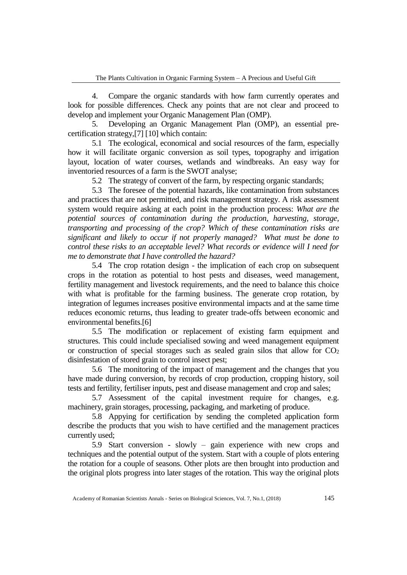4. Compare the organic standards with how farm currently operates and look for possible differences. Check any points that are not clear and proceed to develop and implement your Organic Management Plan (OMP).

5. Developing an Organic Management Plan (OMP), an essential precertification strategy,[7] [10] which contain:

5.1 The ecological, economical and social resources of the farm, especially how it will facilitate organic conversion as soil types, topography and irrigation layout, location of water courses, wetlands and windbreaks. An easy way for inventoried resources of a farm is the SWOT analyse;

5.2 The strategy of convert of the farm, by respecting organic standards;

5.3 The foresee of the potential hazards, like contamination from substances and practices that are not permitted, and risk management strategy. A risk assessment system would require asking at each point in the production process: *What are the potential sources of contamination during the production, harvesting, storage, transporting and processing of the crop? Which of these contamination risks are significant and likely to occur if not properly managed? What must be done to control these risks to an acceptable level? What records or evidence will I need for me to demonstrate that I have controlled the hazard?*

5.4 The crop rotation design - the implication of each crop on subsequent crops in the rotation as potential to host pests and diseases, weed management, fertility management and livestock requirements, and the need to balance this choice with what is profitable for the farming business. The generate crop rotation, by integration of legumes increases positive environmental impacts and at the same time reduces economic returns, thus leading to greater trade-offs between economic and environmental benefits.[6]

5.5 The modification or replacement of existing farm equipment and structures. This could include specialised sowing and weed management equipment or construction of special storages such as sealed grain silos that allow for  $CO<sub>2</sub>$ disinfestation of stored grain to control insect pest;

5.6 The monitoring of the impact of management and the changes that you have made during conversion, by records of crop production, cropping history, soil tests and fertility, fertiliser inputs, pest and disease management and crop and sales;

5.7 Assessment of the capital investment require for changes, e.g. machinery, grain storages, processing, packaging, and marketing of produce.

5.8 Appying for certification by sending the completed application form describe the products that you wish to have certified and the management practices currently used;

5.9 Start conversion - slowly – gain experience with new crops and techniques and the potential output of the system. Start with a couple of plots entering the rotation for a couple of seasons. Other plots are then brought into production and the original plots progress into later stages of the rotation. This way the original plots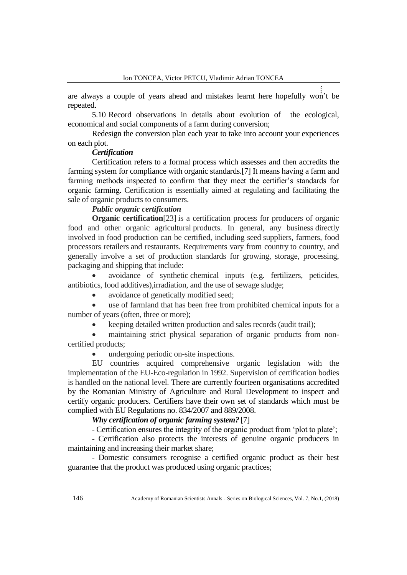are always a couple of years ahead and mistakes learnt here hopefully won't be  $\frac{1}{2}$ repeated.

5.10 Record observations in details about evolution of the ecological, economical and social components of a farm during conversion;

Redesign the conversion plan each year to take into account your experiences on each plot.

#### *Certification*

Certification refers to a formal process which assesses and then accredits the farming system for compliance with organic standards.[7] It means having a farm and farming methods inspected to confirm that they meet the certifier's standards for organic farming. Certification is essentially aimed at regulating and facilitating the sale of organic products to consumers.

## *Public organic certification*

**Organic certification**<sup>[23]</sup> is a certification process for producers of organic food and other organic agricultural products. In general, any business directly involved in food production can be certified, including seed suppliers, farmers, food processors retailers and restaurants. Requirements vary from country to country, and generally involve a set of production standards for growing, storage, processing, packaging and shipping that include:

• avoidance of synthetic chemical inputs (e.g. fertilizers, peticides, antibiotics, food additives),irradiation, and the use of sewage sludge;

avoidance of genetically modified seed;

use of farmland that has been free from prohibited chemical inputs for a number of years (often, three or more);

• keeping detailed written production and sales records (audit trail);

maintaining strict physical separation of organic products from noncertified products;

• undergoing periodic on-site inspections.

EU countries acquired comprehensive organic legislation with the implementation of the EU-Eco-regulation in 1992. Supervision of certification bodies is handled on the national level. There are currently fourteen organisations accredited by the Romanian Ministry of Agriculture and Rural Development to inspect and certify organic producers. Certifiers have their own set of standards which must be complied with EU Regulations no. 834/2007 and 889/2008.

## *Why certification of organic farming system?* [7]

- Certification ensures the integrity of the organic product from 'plot to plate';

- Certification also protects the interests of genuine organic producers in maintaining and increasing their market share;

- Domestic consumers recognise a certified organic product as their best guarantee that the product was produced using organic practices;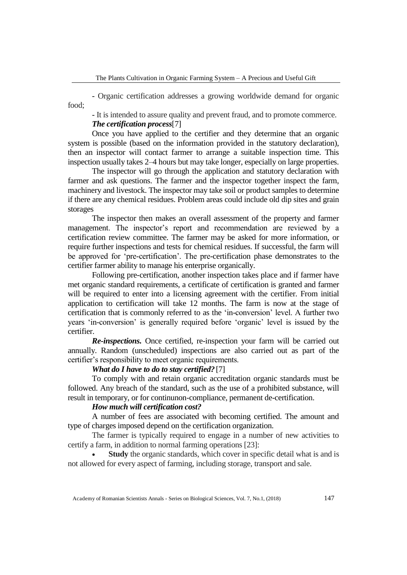- Organic certification addresses a growing worldwide demand for organic food;

- It is intended to assure quality and prevent fraud, and to promote commerce. *The certification process*[7]

Once you have applied to the certifier and they determine that an organic system is possible (based on the information provided in the statutory declaration), then an inspector will contact farmer to arrange a suitable inspection time. This inspection usually takes 2–4 hours but may take longer, especially on large properties.

The inspector will go through the application and statutory declaration with farmer and ask questions. The farmer and the inspector together inspect the farm, machinery and livestock. The inspector may take soil or product samples to determine if there are any chemical residues. Problem areas could include old dip sites and grain storages

The inspector then makes an overall assessment of the property and farmer management. The inspector's report and recommendation are reviewed by a certification review committee. The farmer may be asked for more information, or require further inspections and tests for chemical residues. If successful, the farm will be approved for 'pre-certification'. The pre-certification phase demonstrates to the certifier farmer ability to manage his enterprise organically.

Following pre-certification, another inspection takes place and if farmer have met organic standard requirements, a certificate of certification is granted and farmer will be required to enter into a licensing agreement with the certifier. From initial application to certification will take 12 months. The farm is now at the stage of certification that is commonly referred to as the 'in-conversion' level. A further two years 'in-conversion' is generally required before 'organic' level is issued by the certifier.

*Re-inspections.* Once certified, re-inspection your farm will be carried out annually. Random (unscheduled) inspections are also carried out as part of the certifier's responsibility to meet organic requirements.

# *What do I have to do to stay certified?* [7]

To comply with and retain organic accreditation organic standards must be followed. Any breach of the standard, such as the use of a prohibited substance, will result in temporary, or for continunon-compliance, permanent de-certification.

# *How much will certification cost?*

A number of fees are associated with becoming certified. The amount and type of charges imposed depend on the certification organization.

The farmer is typically required to engage in a number of new activities to certify a farm, in addition to normal farming operations [23]:

**Study** the organic standards, which cover in specific detail what is and is not allowed for every aspect of farming, including storage, transport and sale.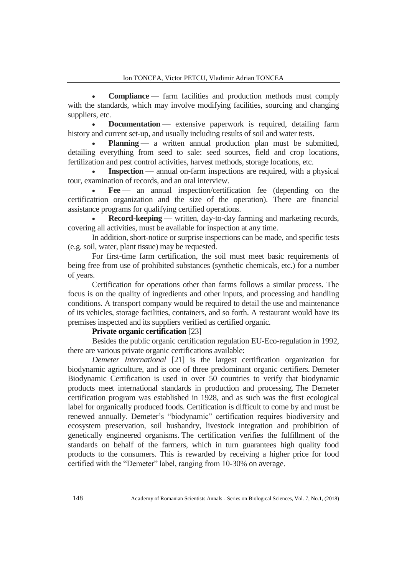**Compliance** — farm facilities and production methods must comply with the standards, which may involve modifying facilities, sourcing and changing suppliers, etc.

**Documentation** — extensive paperwork is required, detailing farm history and current set-up, and usually including results of soil and water tests.

**Planning** — a written annual production plan must be submitted, detailing everything from seed to sale: seed sources, field and crop locations, fertilization and pest control activities, harvest methods, storage locations, etc.

**Inspection** — annual on-farm inspections are required, with a physical tour, examination of records, and an oral interview.

Fee — an annual inspection/certification fee (depending on the certificatrion organization and the size of the operation). There are financial assistance programs for qualifying certified operations.

• **Record-keeping** — written, day-to-day farming and marketing records, covering all activities, must be available for inspection at any time.

In addition, short-notice or surprise inspections can be made, and specific tests (e.g. soil, water, plant tissue) may be requested.

For first-time farm certification, the soil must meet basic requirements of being free from use of prohibited substances (synthetic chemicals, etc.) for a number of years.

Certification for operations other than farms follows a similar process. The focus is on the quality of ingredients and other inputs, and processing and handling conditions. A transport company would be required to detail the use and maintenance of its vehicles, storage facilities, containers, and so forth. A restaurant would have its premises inspected and its suppliers verified as certified organic.

# **Private organic certification** [23]

Besides the public organic certification regulation EU-Eco-regulation in 1992, there are various private organic certifications available:

*Demeter International* [21] is the largest certification organization for biodynamic agriculture, and is one of three predominant organic certifiers. Demeter Biodynamic Certification is used in over 50 countries to verify that biodynamic products meet international standards in production and processing. The Demeter certification program was established in 1928, and as such was the first ecological label for organically produced foods. Certification is difficult to come by and must be renewed annually. Demeter's "biodynamic" certification requires biodiversity and ecosystem preservation, soil husbandry, livestock integration and prohibition of genetically engineered organisms. The certification verifies the fulfillment of the standards on behalf of the farmers, which in turn guarantees high quality food products to the consumers. This is rewarded by receiving a higher price for food certified with the "Demeter" label, ranging from 10-30% on average.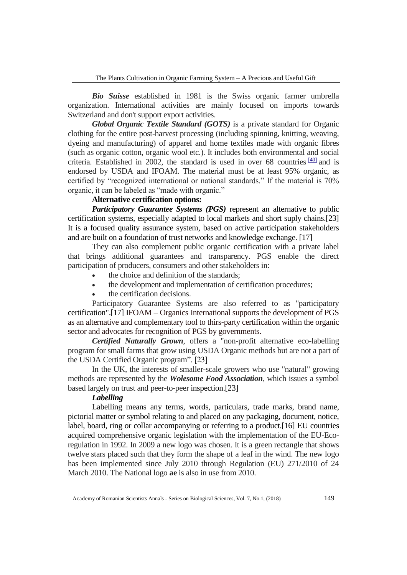*Bio Suisse* established in 1981 is the Swiss organic farmer umbrella organization. International activities are mainly focused on imports towards Switzerland and don't support export activities.

*Global Organic Textile Standard (GOTS)* is a private standard for Organic clothing for the entire post-harvest processing (including spinning, knitting, weaving, dyeing and manufacturing) of apparel and home textiles made with organic fibres (such as organic cotton, organic wool etc.). It includes both environmental and social criteria. Established in 2002, the standard is used in over 68 countries  $\frac{400}{40}$  and is endorsed by USDA and IFOAM. The material must be at least 95% organic, as certified by "recognized international or national standards." If the material is 70% organic, it can be labeled as "made with organic."

# **Alternative certification options:**

*Participatory Guarantee Systems (PGS)* represent an alternative to public certification systems, especially adapted to local markets and short suply chains.[23] It is a focused quality assurance system, based on active participation stakeholders and are built on a foundation of trust networks and knowledge exchange. [17]

They can also complement public organic certification with a private label that brings additional guarantees and transparency. PGS enable the direct participation of producers, consumers and other stakeholders in:

- the choice and definition of the standards;
- the development and implementation of certification procedures;
- the certification decisions.

Participatory Guarantee Systems are also referred to as "participatory certification".[17] IFOAM – Organics International supports the development of PGS as an alternative and complementary tool to thirs-party certification within the organic sector and advocates for recognition of PGS by governments.

*Certified Naturally Grown*, offers a "non-profit alternative eco-labelling program for small farms that grow using USDA Organic methods but are not a part of the USDA Certified Organic program". [23]

In the UK, the interests of smaller-scale growers who use "natural" growing methods are represented by the *Wolesome Food Association*, which issues a symbol based largely on trust and peer-to-peer inspection.[23]

# *Labelling*

Labelling means any terms, words, particulars, trade marks, brand name, pictorial matter or symbol relating to and placed on any packaging, document, notice, label, board, ring or collar accompanying or referring to a product.[16] EU countries acquired comprehensive organic legislation with the implementation of the EU-Ecoregulation in 1992. In 2009 a new logo was chosen. It is a green rectangle that shows twelve stars placed such that they form the shape of a leaf in the wind. The new logo has been implemented since July 2010 through Regulation (EU) 271/2010 of 24 March 2010. The National logo **ae** is also in use from 2010.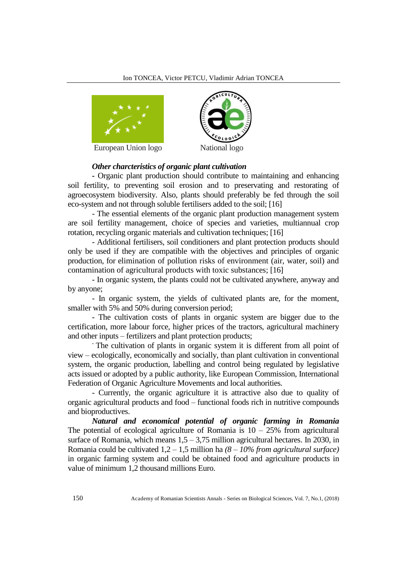

European Union logo National logo



### *Other charcteristics of organic plant cultivation*

*-* Organic plant production should contribute to maintaining and enhancing soil fertility, to preventing soil erosion and to preservating and restorating of agroecosystem biodiversity. Also, plants should preferably be fed through the soil eco-system and not through soluble fertilisers added to the soil; [16]

- The essential elements of the organic plant production management system are soil fertility management, choice of species and varieties, multiannual crop rotation, recycling organic materials and cultivation techniques; [16]

- Additional fertilisers, soil conditioners and plant protection products should only be used if they are compatible with the objectives and principles of organic production, for elimination of pollution risks of environment (air, water, soil) and contamination of agricultural products with toxic substances; [16]

- In organic system, the plants could not be cultivated anywhere, anyway and by anyone;

- In organic system, the yields of cultivated plants are, for the moment, smaller with 5% and 50% during conversion period;

- The cultivation costs of plants in organic system are bigger due to the certification, more labour force, higher prices of the tractors, agricultural machinery and other inputs – fertilizers and plant protection products;

- The cultivation of plants in organic system it is different from all point of view – ecologically, economically and socially, than plant cultivation in conventional system, the organic production, labelling and control being regulated by legislative acts issued or adopted by a public authority, like European Commission, International Federation of Organic Agriculture Movements and local authorities.

- Currently, the organic agriculture it is attractive also due to quality of organic agricultural products and food – functional foods rich in nutritive compounds and bioproductives.

*Natural and economical potential of organic farming in Romania* The potential of ecological agriculture of Romania is  $10 - 25\%$  from agricultural surface of Romania, which means  $1,5 - 3,75$  million agricultural hectares. In 2030, in Romania could be cultivated 1,2 – 1,5 million ha *(8 – 10% from agricultural surface)* in organic farming system and could be obtained food and agriculture products in value of minimum 1,2 thousand millions Euro.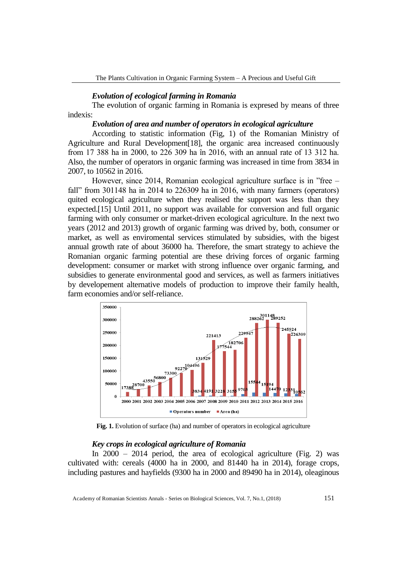### *Evolution of ecological farming in Romania*

The evolution of organic farming in Romania is expresed by means of three indexis:

# *Evolution of area and number of operators in ecological agriculture*

According to statistic information (Fig, 1) of the Romanian Ministry of Agriculture and Rural Development[18], the organic area increased continuously from 17 388 ha in 2000, to 226 309 ha în 2016, with an annual rate of 13 312 ha. Also, the number of operators in organic farming was increased in time from 3834 in 2007, to 10562 in 2016.

However, since 2014, Romanian ecological agriculture surface is in "free – fall" from 301148 ha in 2014 to 226309 ha in 2016, with many farmers (operators) quited ecological agriculture when they realised the support was less than they expected.[15] Until 2011, no support was available for conversion and full organic farming with only consumer or market-driven ecological agriculture. In the next two years (2012 and 2013) growth of organic farming was drived by, both, consumer or market, as well as enviromental services stimulated by subsidies, with the bigest annual growth rate of about 36000 ha. Therefore, the smart strategy to achieve the Romanian organic farming potential are these driving forces of organic farming development: consumer or market with strong influence over organic farming, and subsidies to generate environmental good and services, as well as farmers initiatives by developement alternative models of production to improve their family health, farm economies and/or self-reliance.



**Fig. 1.** Evolution of surface (ha) and number of operators in ecological agriculture

### *Key crops in ecological agriculture of Romania*

In 2000 – 2014 period, the area of ecological agriculture (Fig. 2) was cultivated with: cereals (4000 ha in 2000, and 81440 ha in 2014), forage crops, including pastures and hayfields (9300 ha in 2000 and 89490 ha in 2014), oleaginous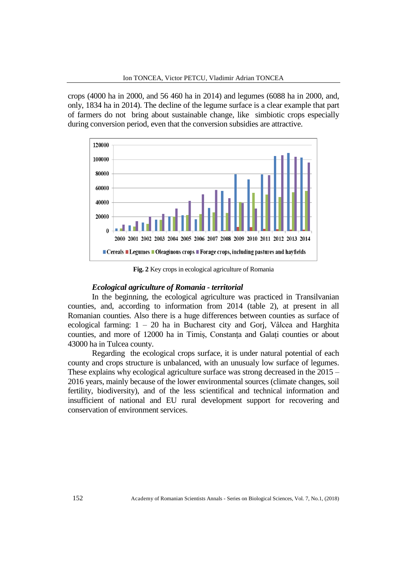crops (4000 ha in 2000, and 56 460 ha in 2014) and legumes (6088 ha in 2000, and, only, 1834 ha in 2014). The decline of the legume surface is a clear example that part of farmers do not bring about sustainable change, like simbiotic crops especially during conversion period, even that the conversion subsidies are attractive.



**Fig. 2** Key crops in ecological agriculture of Romania

### *Ecological agriculture of Romania - territorial*

In the beginning, the ecological agriculture was practiced in Transilvanian counties, and, according to information from 2014 (table 2), at present in all Romanian counties. Also there is a huge differences between counties as surface of ecological farming: 1 – 20 ha in Bucharest city and Gorj, Vâlcea and Harghita counties, and more of 12000 ha in Timiș, Constanța and Galați counties or about 43000 ha in Tulcea county.

Regarding the ecological crops surface, it is under natural potential of each county and crops structure is unbalanced, with an unusualy low surface of legumes. These explains why ecological agriculture surface was strong decreased in the 2015 – 2016 years, mainly because of the lower environmental sources (climate changes, soil fertility, biodiversity), and of the less scientifical and technical information and insufficient of national and EU rural development support for recovering and conservation of environment services.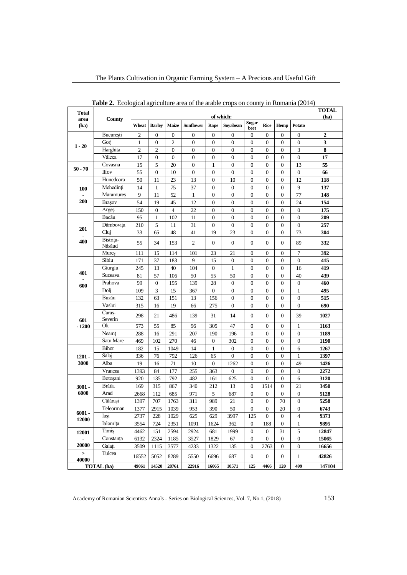| <b>Table 2.</b> Ecological agriculture area of the arable crops on county in Romania (2014) |                         |                |                        |                      |                  |                                    |                                      |                                    |                       |                                      |                        |                  |
|---------------------------------------------------------------------------------------------|-------------------------|----------------|------------------------|----------------------|------------------|------------------------------------|--------------------------------------|------------------------------------|-----------------------|--------------------------------------|------------------------|------------------|
| Total                                                                                       |                         | of which:      |                        |                      |                  |                                    |                                      |                                    |                       | <b>TOTAL</b><br>(ha)                 |                        |                  |
| area<br>(ha)                                                                                | County                  | Wheat          | <b>Barley</b>          | <b>Maize</b>         | <b>Sunflower</b> | Rape                               | Soyabean                             | <b>Sugar</b>                       | <b>Rice</b>           | Hemp                                 | Potato                 |                  |
|                                                                                             |                         |                |                        |                      |                  |                                    |                                      | beet                               |                       |                                      |                        |                  |
| $1 - 20$                                                                                    | București               | 2              | 0                      | 0                    | 0                | 0                                  | $\mathbf{0}$                         | 0                                  | 0                     | 0                                    | 0                      | $\boldsymbol{2}$ |
|                                                                                             | Gorj                    | 1              | 0                      | 2                    | 0                | 0                                  | $\boldsymbol{0}$                     | 0                                  | 0                     | 0                                    | $\boldsymbol{0}$       | 3                |
|                                                                                             | Harghita                | $\overline{2}$ | $\overline{c}$         | $\overline{0}$       | $\overline{0}$   | $\overline{0}$                     | $\boldsymbol{0}$                     | 0                                  | $\boldsymbol{0}$      | $\boldsymbol{0}$                     | 3                      | 8                |
|                                                                                             | Vâlcea                  | 17             | 0                      | 0                    | 0                | 0                                  | $\boldsymbol{0}$                     | 0                                  | 0                     | $\boldsymbol{0}$                     | $\boldsymbol{0}$       | 17               |
| $50 - 70$                                                                                   | Covasna<br><b>Ilfov</b> | 15             | 5                      | 20                   | $\boldsymbol{0}$ | 1                                  | $\mathbf{0}$                         | $\boldsymbol{0}$                   | $\boldsymbol{0}$      | $\boldsymbol{0}$                     | 13<br>$\boldsymbol{0}$ | 55               |
|                                                                                             |                         | 55             | $\boldsymbol{0}$       | 10                   | $\boldsymbol{0}$ | $\boldsymbol{0}$                   | $\boldsymbol{0}$                     | $\boldsymbol{0}$                   | $\boldsymbol{0}$      | $\boldsymbol{0}$                     |                        | 66               |
|                                                                                             | Hunedoara<br>Mehedinti  | 50             | 11                     | 23                   | 13               | 0                                  | 10                                   | 0                                  | 0                     | $\boldsymbol{0}$                     | 12                     | 118              |
| <b>100</b><br>200                                                                           | Maramureș               | 14<br>9        | 1                      | 75<br>52             | 37<br>1          | $\boldsymbol{0}$<br>$\overline{0}$ | $\boldsymbol{0}$<br>$\boldsymbol{0}$ | $\boldsymbol{0}$<br>$\overline{0}$ | $\boldsymbol{0}$      | $\boldsymbol{0}$                     | 9<br>77                | 137<br>148       |
|                                                                                             | <b>Brasov</b>           | 54             | 11                     |                      |                  |                                    |                                      |                                    | $\boldsymbol{0}$      | $\boldsymbol{0}$                     |                        |                  |
|                                                                                             |                         | 150            | 19<br>$\boldsymbol{0}$ | 45<br>$\overline{4}$ | 12               | 0<br>$\boldsymbol{0}$              | $\mathbf{0}$<br>$\mathbf{0}$         | 0<br>$\boldsymbol{0}$              | 0<br>$\boldsymbol{0}$ | $\boldsymbol{0}$<br>$\boldsymbol{0}$ | 24<br>$\boldsymbol{0}$ | 154<br>175       |
|                                                                                             | Arges<br>Bacău          | 95             | 1                      | 102                  | 22<br>11         | $\boldsymbol{0}$                   | $\boldsymbol{0}$                     | 0                                  | $\boldsymbol{0}$      | 0                                    | $\boldsymbol{0}$       | 209              |
|                                                                                             | Dâmbovița               | 210            | 5                      | 11                   | 31               | 0                                  | $\boldsymbol{0}$                     | 0                                  | 0                     | 0                                    | $\boldsymbol{0}$       | 257              |
| 201                                                                                         | Cluj                    | 33             | 65                     | 48                   | 41               | 19                                 | 23                                   | 0                                  | $\boldsymbol{0}$      | 0                                    | 73                     | 304              |
| 400                                                                                         | Bistrita-               |                |                        |                      |                  |                                    |                                      |                                    |                       |                                      |                        |                  |
|                                                                                             | Năsăud                  | 55             | 34                     | 153                  | $\overline{c}$   | $\boldsymbol{0}$                   | $\boldsymbol{0}$                     | $\boldsymbol{0}$                   | $\boldsymbol{0}$      | $\boldsymbol{0}$                     | 89                     | 332              |
|                                                                                             | Mures                   | 111            | 15                     | 114                  | 101              | 23                                 | 21                                   | $\boldsymbol{0}$                   | 0                     | $\boldsymbol{0}$                     | 7                      | 392              |
|                                                                                             | Sibiu                   | 171            | 37                     | 183                  | 9                | 15                                 | $\boldsymbol{0}$                     | $\boldsymbol{0}$                   | $\boldsymbol{0}$      | $\boldsymbol{0}$                     | $\overline{0}$         | 415              |
| 401                                                                                         | Giurgiu                 | 245            | 13                     | 40                   | 104              | 0                                  | $\mathbf{1}$                         | 0                                  | 0                     | 0                                    | 16                     | 419              |
|                                                                                             | Suceava                 | 81             | 57                     | 106                  | 50               | 55                                 | 50                                   | $\boldsymbol{0}$                   | $\boldsymbol{0}$      | $\boldsymbol{0}$                     | 40                     | 439              |
| 600                                                                                         | Prahova                 | 99             | $\boldsymbol{0}$       | 195                  | 139              | 28                                 | $\boldsymbol{0}$                     | 0                                  | 0                     | 0                                    | $\boldsymbol{0}$       | 460              |
|                                                                                             | Dolj                    | 109            | 3                      | 15                   | 367              | 0                                  | $\boldsymbol{0}$                     | 0                                  | 0                     | 0                                    | 1                      | 495              |
|                                                                                             | Buzău                   | 132            | 63                     | 151                  | 13               | 156                                | $\boldsymbol{0}$                     | $\boldsymbol{0}$                   | $\boldsymbol{0}$      | $\boldsymbol{0}$                     | $\boldsymbol{0}$       | 515              |
|                                                                                             | Vaslui                  | 315            | 16                     | 19                   | 66               | 275                                | $\boldsymbol{0}$                     | 0                                  | $\boldsymbol{0}$      | $\boldsymbol{0}$                     | $\mathbf{0}$           | 690              |
| 601                                                                                         | Caras-<br>Severin       | 298            | 21                     | 486                  | 139              | 31                                 | 14                                   | 0                                  | 0                     | $\boldsymbol{0}$                     | 39                     | 1027             |
| $-1200$                                                                                     | Olt                     | 573            | 55                     | 85                   | 96               | 305                                | 47                                   | 0                                  | $\boldsymbol{0}$      | $\boldsymbol{0}$                     | 1                      | 1163             |
|                                                                                             | Neamt                   | 288            | 16                     | 291                  | 207              | 190                                | 196                                  | 0                                  | 0                     | 0                                    | $\boldsymbol{0}$       | 1189             |
|                                                                                             | Satu Mare               | 469            | 102                    | 270                  | 46               | 0                                  | 302                                  | 0                                  | $\boldsymbol{0}$      | $\boldsymbol{0}$                     | $\boldsymbol{0}$       | <b>1190</b>      |
|                                                                                             | Bihor                   | 182            | 15                     | 1049                 | 14               | $\mathbf{1}$                       | $\boldsymbol{0}$                     | 0                                  | $\boldsymbol{0}$      | 0                                    | 6                      | 1267             |
| $1201 -$                                                                                    | Sălaj                   | 336            | 76                     | 792                  | 126              | 65                                 | $\boldsymbol{0}$                     | 0                                  | 0                     | 0                                    | 1                      | 1397             |
| 3000                                                                                        | Alba                    | 19             | 16                     | 71                   | 10               | 0                                  | 1262                                 | 0                                  | $\boldsymbol{0}$      | $\boldsymbol{0}$                     | 49                     | 1426             |
|                                                                                             | Vrancea                 | 1393           | 84                     | 177                  | 255              | 363                                | $\boldsymbol{0}$                     | 0                                  | $\boldsymbol{0}$      | $\boldsymbol{0}$                     | $\mathbf{0}$           | 2272             |
|                                                                                             | Botoșani                | 920            | 135                    | 792                  | 482              | 161                                | 625                                  | 0                                  | 0                     | $\boldsymbol{0}$                     | 6                      | 3120             |
| $3001 -$<br>6000                                                                            | Brăila                  | 169            | 315                    | 867                  | 340              | 212                                | 13                                   | $\boldsymbol{0}$                   | 1514                  | $\boldsymbol{0}$                     | 21                     | 3450             |
|                                                                                             | Arad                    | 2668           | 112                    | 685                  | 971              | 5                                  | 687                                  | $\boldsymbol{0}$                   | $\boldsymbol{0}$      | $\boldsymbol{0}$                     | $\boldsymbol{0}$       | 5128             |
|                                                                                             | Călărași                | 1397           | 707                    | 1763                 | 311              | 989                                | 21                                   | 0                                  | $\boldsymbol{0}$      | 70                                   | 0                      | 5258             |
| $6001 -$                                                                                    | Teleorman               | 1377           | 2915                   | 1039                 | 953              | 390                                | 50                                   | 0                                  | 0                     | 20                                   | 0                      | 6743             |
| 12000                                                                                       | Iasi                    | 2737           | 228                    | 1029                 | 625              | 629                                | 3997                                 | 125                                | $\theta$              | $\boldsymbol{0}$                     | 4                      | 9373             |
|                                                                                             | Ialomita                | 3554           | 724                    | 2351                 | 1091             | 1624                               | 362                                  | 0                                  | 188                   | 0                                    | 1                      | 9895             |
| 12001                                                                                       | Timis                   | 4462           | 151                    | 2594                 | 2924             | 681                                | 1999                                 | $\boldsymbol{0}$                   | $\boldsymbol{0}$      | 31                                   | 5                      | 12847            |
|                                                                                             | Constanța               | 6132           | 2324                   | 1185                 | 3527             | 1829                               | 67                                   | 0                                  | $\boldsymbol{0}$      | $\boldsymbol{0}$                     | $\boldsymbol{0}$       | 15065            |
| 20000                                                                                       | Galati                  | 3509           | 1115                   | 3577                 | 4233             | 1322                               | 135                                  | 0                                  | 2763                  | 0                                    | 0                      | 16656            |
| $\, >$<br>40000                                                                             | Tulcea                  | 16552          | 5052                   | 8289                 | 5550             | 6696                               | 687                                  | 0                                  | 0                     | 0                                    | 1                      | 42826            |
|                                                                                             | TOTAL (ha)              | 49061          | 14520                  | 28761                | 22916            | 16065                              | 10571                                | 125                                | 4466                  | 120                                  | 499                    | 147104           |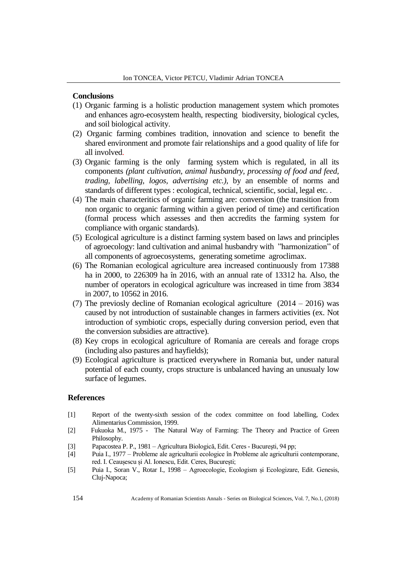## **Conclusions**

- (1) Organic farming is a holistic production management system which promotes and enhances agro-ecosystem health, respecting biodiversity, biological cycles, and soil biological activity.
- (2) Organic farming combines tradition, innovation and science to benefit the shared environment and promote fair relationships and a good quality of life for all involved.
- (3) Organic farming is the only farming system which is regulated, in all its components *(plant cultivation, animal husbandry, processing of food and feed, trading, labelling, logos, advertising etc.),* by an ensemble of norms and standards of different types : ecological, technical, scientific, social, legal etc. .
- (4) The main characteritics of organic farming are: conversion (the transition from non organic to organic farming within a given period of time) and certification (formal process which assesses and then accredits the farming system for compliance with organic standards).
- (5) Ecological agriculture is a distinct farming system based on laws and principles of agroecology: land cultivation and animal husbandry with "harmonization" of all components of agroecosystems, generating sometime agroclimax.
- (6) The Romanian ecological agriculture area increased continuously from 17388 ha in 2000, to 226309 ha în 2016, with an annual rate of 13312 ha. Also, the number of operators in ecological agriculture was increased in time from 3834 in 2007, to 10562 in 2016.
- (7) The previosly decline of Romanian ecological agriculture  $(2014 2016)$  was caused by not introduction of sustainable changes in farmers activities (ex. Not introduction of symbiotic crops, especially during conversion period, even that the conversion subsidies are attractive).
- (8) Key crops in ecological agriculture of Romania are cereals and forage crops (including also pastures and hayfields);
- (9) Ecological agriculture is practiced everywhere in Romania but, under natural potential of each county, crops structure is unbalanced having an unusualy low surface of legumes.

### **References**

- [1] Report of the twenty-sixth session of the codex committee on food labelling, Codex Alimentarius Commission, 1999.
- [2] Fukuoka M., 1975 The Natural Way of Farming: The Theory and Practice of Green Philosophy.
- [3] Papacostea P. P., 1981 Agricultura Biologică, Edit. Ceres Bucureşti, 94 pp;
- [4] Puia I., 1977 Probleme ale agriculturii ecologice în Probleme ale agriculturii contemporane, red. I. Ceaușescu și Al. Ionescu, Edit. Ceres, București;
- [5] Puia I., Soran V., Rotar I., 1998 Agroecologie, Ecologism și Ecologizare, Edit. Genesis, Cluj-Napoca;